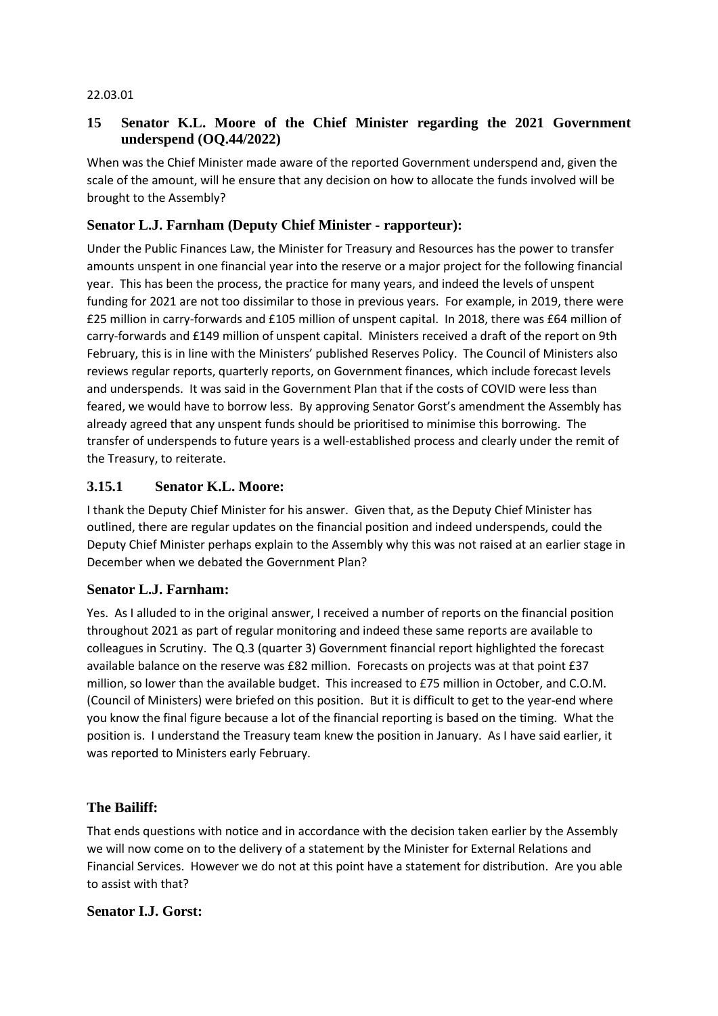#### 22.03.01

# **15 Senator K.L. Moore of the Chief Minister regarding the 2021 Government underspend (OQ.44/2022)**

When was the Chief Minister made aware of the reported Government underspend and, given the scale of the amount, will he ensure that any decision on how to allocate the funds involved will be brought to the Assembly?

# **Senator L.J. Farnham (Deputy Chief Minister - rapporteur):**

Under the Public Finances Law, the Minister for Treasury and Resources has the power to transfer amounts unspent in one financial year into the reserve or a major project for the following financial year. This has been the process, the practice for many years, and indeed the levels of unspent funding for 2021 are not too dissimilar to those in previous years. For example, in 2019, there were £25 million in carry-forwards and £105 million of unspent capital. In 2018, there was £64 million of carry-forwards and £149 million of unspent capital. Ministers received a draft of the report on 9th February, this is in line with the Ministers' published Reserves Policy. The Council of Ministers also reviews regular reports, quarterly reports, on Government finances, which include forecast levels and underspends. It was said in the Government Plan that if the costs of COVID were less than feared, we would have to borrow less. By approving Senator Gorst's amendment the Assembly has already agreed that any unspent funds should be prioritised to minimise this borrowing. The transfer of underspends to future years is a well-established process and clearly under the remit of the Treasury, to reiterate.

### **3.15.1 Senator K.L. Moore:**

I thank the Deputy Chief Minister for his answer. Given that, as the Deputy Chief Minister has outlined, there are regular updates on the financial position and indeed underspends, could the Deputy Chief Minister perhaps explain to the Assembly why this was not raised at an earlier stage in December when we debated the Government Plan?

#### **Senator L.J. Farnham:**

Yes. As I alluded to in the original answer, I received a number of reports on the financial position throughout 2021 as part of regular monitoring and indeed these same reports are available to colleagues in Scrutiny. The Q.3 (quarter 3) Government financial report highlighted the forecast available balance on the reserve was £82 million. Forecasts on projects was at that point £37 million, so lower than the available budget. This increased to £75 million in October, and C.O.M. (Council of Ministers) were briefed on this position. But it is difficult to get to the year-end where you know the final figure because a lot of the financial reporting is based on the timing. What the position is. I understand the Treasury team knew the position in January. As I have said earlier, it was reported to Ministers early February.

### **The Bailiff:**

That ends questions with notice and in accordance with the decision taken earlier by the Assembly we will now come on to the delivery of a statement by the Minister for External Relations and Financial Services. However we do not at this point have a statement for distribution. Are you able to assist with that?

### **Senator I.J. Gorst:**